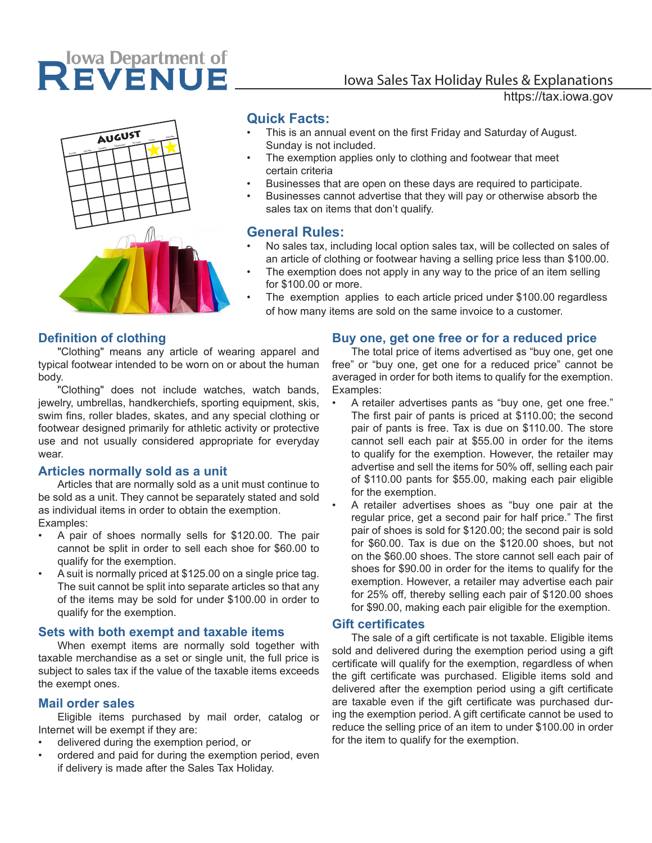## REVENUE

# AUGUST<br>
Sunday Tuesday Tuesday Tuesday Tuesday Tuesday Saturday Tuesday Tuesday Tuesday Tuesday Tuesday Tuesday Tuesd<br>
Tuesday Tuesday Tuesday Tuesday Tuesday Tuesday Tuesday Tuesday Tuesday Tuesday Tuesday Tuesday Tuesday

#### **Quick Facts:**

- This is an annual event on the first Friday and Saturday of August. Sunday is not included.
- The exemption applies only to clothing and footwear that meet certain criteria
- Businesses that are open on these days are required to participate.
- Businesses cannot advertise that they will pay or otherwise absorb the sales tax on items that don't qualify.

#### **General Rules:**

- No sales tax, including local option sales tax, will be collected on sales of an article of clothing or footwear having a selling price less than \$100.00.
- The exemption does not apply in any way to the price of an item selling for \$100.00 or more.
- The exemption applies to each article priced under \$100.00 regardless of how many items are sold on the same invoice to a customer.

#### **Definition of clothing**

"Clothing" means any article of wearing apparel and typical footwear intended to be worn on or about the human body.

"Clothing" does not include watches, watch bands, jewelry, umbrellas, handkerchiefs, sporting equipment, skis, swim fins, roller blades, skates, and any special clothing or footwear designed primarily for athletic activity or protective use and not usually considered appropriate for everyday wear.

#### **Articles normally sold as a unit**

Articles that are normally sold as a unit must continue to be sold as a unit. They cannot be separately stated and sold as individual items in order to obtain the exemption. Examples:

- A pair of shoes normally sells for \$120.00. The pair cannot be split in order to sell each shoe for \$60.00 to qualify for the exemption.
- A suit is normally priced at \$125.00 on a single price tag. The suit cannot be split into separate articles so that any of the items may be sold for under \$100.00 in order to qualify for the exemption.

#### **Sets with both exempt and taxable items**

When exempt items are normally sold together with taxable merchandise as a set or single unit, the full price is subject to sales tax if the value of the taxable items exceeds the exempt ones.

#### **Mail order sales**

Eligible items purchased by mail order, catalog or Internet will be exempt if they are:

- delivered during the exemption period, or
- ordered and paid for during the exemption period, even if delivery is made after the Sales Tax Holiday.

#### **Buy one, get one free or for a reduced price**

The total price of items advertised as "buy one, get one free" or "buy one, get one for a reduced price" cannot be averaged in order for both items to qualify for the exemption. Examples:

- A retailer advertises pants as "buy one, get one free." The first pair of pants is priced at \$110.00; the second pair of pants is free. Tax is due on \$110.00. The store cannot sell each pair at \$55.00 in order for the items to qualify for the exemption. However, the retailer may advertise and sell the items for 50% off, selling each pair of \$110.00 pants for \$55.00, making each pair eligible for the exemption.
- A retailer advertises shoes as "buy one pair at the regular price, get a second pair for half price." The first pair of shoes is sold for \$120.00; the second pair is sold for \$60.00. Tax is due on the \$120.00 shoes, but not on the \$60.00 shoes. The store cannot sell each pair of shoes for \$90.00 in order for the items to qualify for the exemption. However, a retailer may advertise each pair for 25% off, thereby selling each pair of \$120.00 shoes for \$90.00, making each pair eligible for the exemption.

#### **Gift certificates**

The sale of a gift certificate is not taxable. Eligible items sold and delivered during the exemption period using a gift certificate will qualify for the exemption, regardless of when the gift certificate was purchased. Eligible items sold and delivered after the exemption period using a gift certificate are taxable even if the gift certificate was purchased during the exemption period. A gift certificate cannot be used to reduce the selling price of an item to under \$100.00 in order for the item to qualify for the exemption.

### Iowa Sales Tax Holiday Rules & Explanations

https://tax.iowa.gov